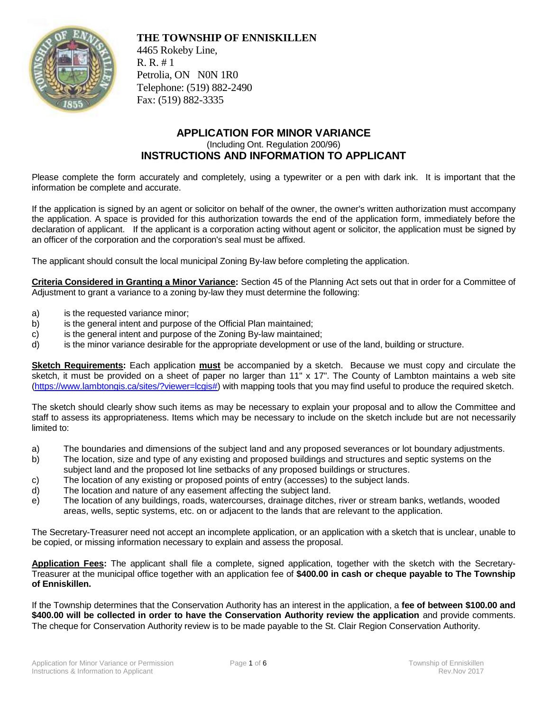

**THE TOWNSHIP OF ENNISKILLEN**

4465 Rokeby Line, R. R. # 1 Petrolia, ON N0N 1R0 Telephone: (519) 882-2490 Fax: (519) 882-3335

## **APPLICATION FOR MINOR VARIANCE** (Including Ont. Regulation 200/96) **INSTRUCTIONS AND INFORMATION TO APPLICANT**

Please complete the form accurately and completely, using a typewriter or a pen with dark ink. It is important that the information be complete and accurate.

If the application is signed by an agent or solicitor on behalf of the owner, the owner's written authorization must accompany the application. A space is provided for this authorization towards the end of the application form, immediately before the declaration of applicant. If the applicant is a corporation acting without agent or solicitor, the application must be signed by an officer of the corporation and the corporation's seal must be affixed.

The applicant should consult the local municipal Zoning By-law before completing the application.

**Criteria Considered in Granting a Minor Variance:** Section 45 of the Planning Act sets out that in order for a Committee of Adjustment to grant a variance to a zoning by-law they must determine the following:

- a) is the requested variance minor;
- b) is the general intent and purpose of the Official Plan maintained;
- c) is the general intent and purpose of the Zoning By-law maintained;
- d) is the minor variance desirable for the appropriate development or use of the land, building or structure.

**Sketch Requirements:** Each application **must** be accompanied by a sketch. Because we must copy and circulate the sketch, it must be provided on a sheet of paper no larger than 11" x 17". The County of Lambton maintains a web site [\(https://www.lambtongis.ca/sites/?viewer=lcgis#\)](https://www.lambtongis.ca/sites/?viewer=lcgis) with mapping tools that you may find useful to produce the required sketch.

The sketch should clearly show such items as may be necessary to explain your proposal and to allow the Committee and staff to assess its appropriateness. Items which may be necessary to include on the sketch include but are not necessarily limited to:

- a) The boundaries and dimensions of the subject land and any proposed severances or lot boundary adjustments.
- b) The location, size and type of any existing and proposed buildings and structures and septic systems on the subject land and the proposed lot line setbacks of any proposed buildings or structures.
- c) The location of any existing or proposed points of entry (accesses) to the subject lands.
- d) The location and nature of any easement affecting the subject land.
- e) The location of any buildings, roads, watercourses, drainage ditches, river or stream banks, wetlands, wooded areas, wells, septic systems, etc. on or adjacent to the lands that are relevant to the application.

The Secretary-Treasurer need not accept an incomplete application, or an application with a sketch that is unclear, unable to be copied, or missing information necessary to explain and assess the proposal.

**Application Fees:** The applicant shall file a complete, signed application, together with the sketch with the Secretary-Treasurer at the municipal office together with an application fee of **\$400.00 in cash or cheque payable to The Township of Enniskillen.**

If the Township determines that the Conservation Authority has an interest in the application, a **fee of between \$100.00 and \$400.00 will be collected in order to have the Conservation Authority review the application** and provide comments. The cheque for Conservation Authority review is to be made payable to the St. Clair Region Conservation Authority.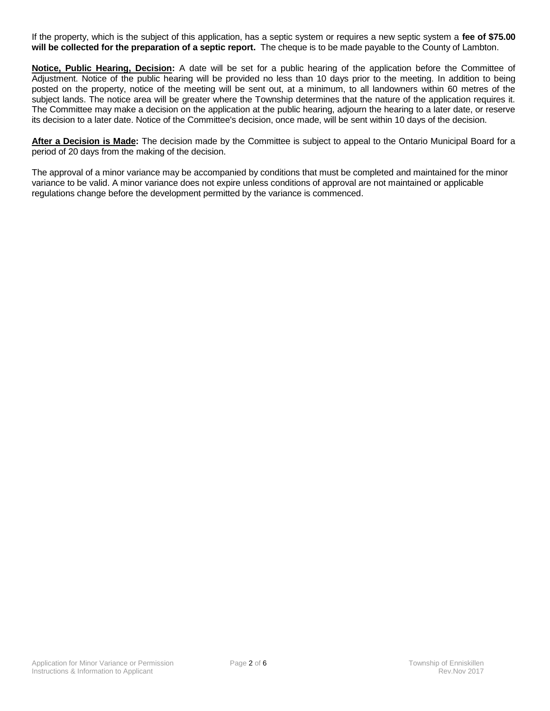If the property, which is the subject of this application, has a septic system or requires a new septic system a **fee of \$75.00 will be collected for the preparation of a septic report.** The cheque is to be made payable to the County of Lambton.

**Notice, Public Hearing, Decision:** A date will be set for a public hearing of the application before the Committee of Adjustment. Notice of the public hearing will be provided no less than 10 days prior to the meeting. In addition to being posted on the property, notice of the meeting will be sent out, at a minimum, to all landowners within 60 metres of the subject lands. The notice area will be greater where the Township determines that the nature of the application requires it. The Committee may make a decision on the application at the public hearing, adjourn the hearing to a later date, or reserve its decision to a later date. Notice of the Committee's decision, once made, will be sent within 10 days of the decision.

**After a Decision is Made:** The decision made by the Committee is subject to appeal to the Ontario Municipal Board for a period of 20 days from the making of the decision.

The approval of a minor variance may be accompanied by conditions that must be completed and maintained for the minor variance to be valid. A minor variance does not expire unless conditions of approval are not maintained or applicable regulations change before the development permitted by the variance is commenced.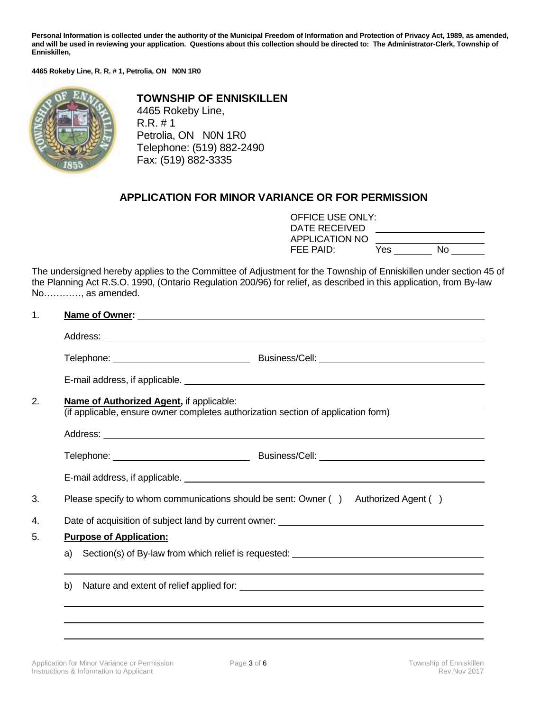**Personal Information is collected under the authority of the Municipal Freedom of Information and Protection of Privacy Act, 1989, as amended, and will be used in reviewing your application. Questions about this collection should be directed to: The Administrator-Clerk, Township of Enniskillen,**

**4465 Rokeby Line, R. R. # 1, Petrolia, ON N0N 1R0**



**TOWNSHIP OF ENNISKILLEN** 4465 Rokeby Line, R.R. # 1 Petrolia, ON N0N 1R0 Telephone: (519) 882-2490 Fax: (519) 882-3335

## **APPLICATION FOR MINOR VARIANCE OR FOR PERMISSION**

| OFFICE USE ONLY:<br>DATE RECEIVED |     |    |
|-----------------------------------|-----|----|
| APPLICATION NO                    |     |    |
| FEE PAID:                         | Yes | No |

The undersigned hereby applies to the Committee of Adjustment for the Township of Enniskillen under section 45 of the Planning Act R.S.O. 1990, (Ontario Regulation 200/96) for relief, as described in this application, from By-law No…………, as amended.

## 1. **Name of Owner:**

|                                | (if applicable, ensure owner completes authorization section of application form) |                                                                                    |  |  |  |  |  |
|--------------------------------|-----------------------------------------------------------------------------------|------------------------------------------------------------------------------------|--|--|--|--|--|
|                                |                                                                                   |                                                                                    |  |  |  |  |  |
|                                |                                                                                   |                                                                                    |  |  |  |  |  |
|                                |                                                                                   |                                                                                    |  |  |  |  |  |
|                                |                                                                                   | Please specify to whom communications should be sent: Owner () Authorized Agent () |  |  |  |  |  |
|                                |                                                                                   |                                                                                    |  |  |  |  |  |
| <b>Purpose of Application:</b> |                                                                                   |                                                                                    |  |  |  |  |  |
|                                | a) Section(s) of By-law from which relief is requested: _________________________ |                                                                                    |  |  |  |  |  |
| b)                             |                                                                                   |                                                                                    |  |  |  |  |  |
|                                |                                                                                   |                                                                                    |  |  |  |  |  |
|                                |                                                                                   |                                                                                    |  |  |  |  |  |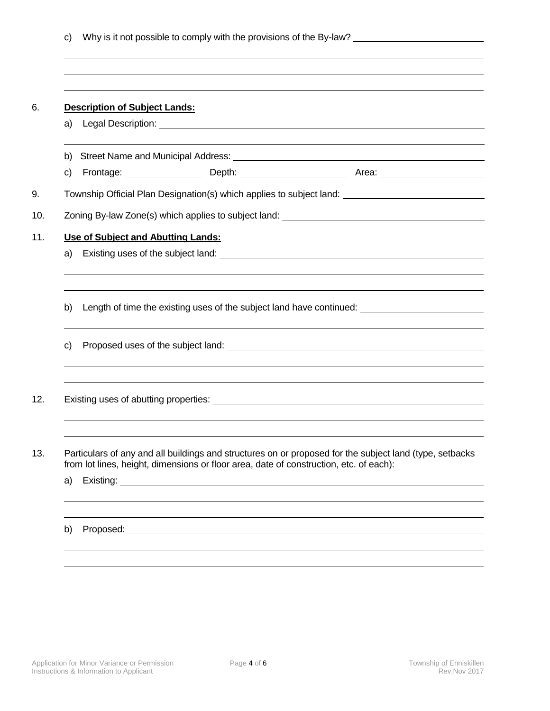| <b>Description of Subject Lands:</b><br>a)<br>b)<br>c)<br>Township Official Plan Designation(s) which applies to subject land: ______________________________<br>Zoning By-law Zone(s) which applies to subject land: ___________________________<br>Use of Subject and Abutting Lands:<br>a)<br>b)<br>$\mathsf{C}$<br>Particulars of any and all buildings and structures on or proposed for the subject land (type, setbacks<br>from lot lines, height, dimensions or floor area, date of construction, etc. of each):<br>a) |                                                                                                     |
|--------------------------------------------------------------------------------------------------------------------------------------------------------------------------------------------------------------------------------------------------------------------------------------------------------------------------------------------------------------------------------------------------------------------------------------------------------------------------------------------------------------------------------|-----------------------------------------------------------------------------------------------------|
|                                                                                                                                                                                                                                                                                                                                                                                                                                                                                                                                |                                                                                                     |
|                                                                                                                                                                                                                                                                                                                                                                                                                                                                                                                                |                                                                                                     |
|                                                                                                                                                                                                                                                                                                                                                                                                                                                                                                                                |                                                                                                     |
|                                                                                                                                                                                                                                                                                                                                                                                                                                                                                                                                |                                                                                                     |
|                                                                                                                                                                                                                                                                                                                                                                                                                                                                                                                                |                                                                                                     |
|                                                                                                                                                                                                                                                                                                                                                                                                                                                                                                                                |                                                                                                     |
|                                                                                                                                                                                                                                                                                                                                                                                                                                                                                                                                |                                                                                                     |
|                                                                                                                                                                                                                                                                                                                                                                                                                                                                                                                                | Length of time the existing uses of the subject land have continued: ______________________________ |
|                                                                                                                                                                                                                                                                                                                                                                                                                                                                                                                                |                                                                                                     |
|                                                                                                                                                                                                                                                                                                                                                                                                                                                                                                                                |                                                                                                     |
|                                                                                                                                                                                                                                                                                                                                                                                                                                                                                                                                |                                                                                                     |
|                                                                                                                                                                                                                                                                                                                                                                                                                                                                                                                                |                                                                                                     |
|                                                                                                                                                                                                                                                                                                                                                                                                                                                                                                                                |                                                                                                     |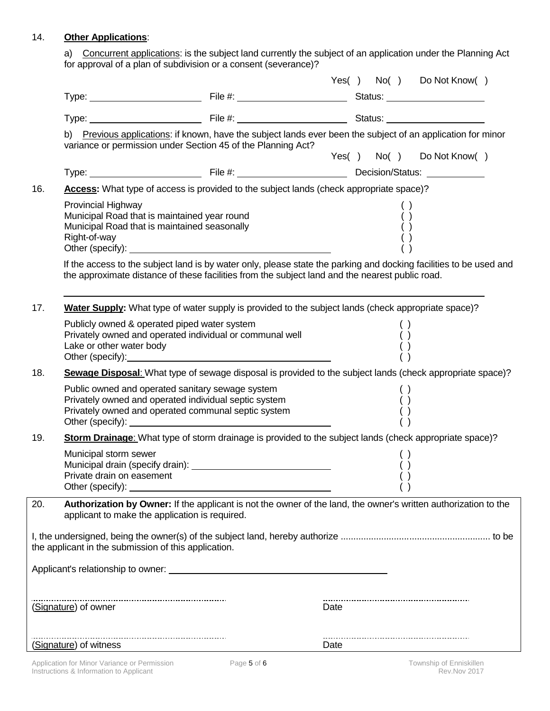## 14. **Other Applications**:

a) Concurrent applications: is the subject land currently the subject of an application under the Planning Act for approval of a plan of subdivision or a consent (severance)?

|     |                                                      |                                                                                                                                                                                                                                                                                                                                                                                                    |      |  |  | Yes() No() Do Not Know() |  |
|-----|------------------------------------------------------|----------------------------------------------------------------------------------------------------------------------------------------------------------------------------------------------------------------------------------------------------------------------------------------------------------------------------------------------------------------------------------------------------|------|--|--|--------------------------|--|
|     |                                                      |                                                                                                                                                                                                                                                                                                                                                                                                    |      |  |  |                          |  |
|     |                                                      |                                                                                                                                                                                                                                                                                                                                                                                                    |      |  |  |                          |  |
|     |                                                      | b) Previous applications: if known, have the subject lands ever been the subject of an application for minor<br>variance or permission under Section 45 of the Planning Act?                                                                                                                                                                                                                       |      |  |  | Yes() No() Do Not Know() |  |
|     |                                                      |                                                                                                                                                                                                                                                                                                                                                                                                    |      |  |  |                          |  |
| 16. |                                                      | Access: What type of access is provided to the subject lands (check appropriate space)?                                                                                                                                                                                                                                                                                                            |      |  |  |                          |  |
|     | Provincial Highway<br>Right-of-way                   | Municipal Road that is maintained year round<br>Municipal Road that is maintained seasonally                                                                                                                                                                                                                                                                                                       |      |  |  |                          |  |
|     |                                                      | If the access to the subject land is by water only, please state the parking and docking facilities to be used and<br>the approximate distance of these facilities from the subject land and the nearest public road.                                                                                                                                                                              |      |  |  |                          |  |
| 17. |                                                      | <b>Water Supply:</b> What type of water supply is provided to the subject lands (check appropriate space)?                                                                                                                                                                                                                                                                                         |      |  |  |                          |  |
|     | Lake or other water body                             | Publicly owned & operated piped water system<br>Privately owned and operated individual or communal well<br>Other (specify): example and a series of the series of the series of the series of the series of the series of the series of the series of the series of the series of the series of the series of the series of the series of                                                         |      |  |  |                          |  |
| 18. |                                                      | Sewage Disposal: What type of sewage disposal is provided to the subject lands (check appropriate space)?                                                                                                                                                                                                                                                                                          |      |  |  |                          |  |
|     |                                                      | Public owned and operated sanitary sewage system<br>Privately owned and operated individual septic system<br>Privately owned and operated communal septic system<br>Other (specify): example and the state of the state of the state of the state of the state of the state of the state of the state of the state of the state of the state of the state of the state of the state of the state o |      |  |  |                          |  |
| 19. |                                                      | Storm Drainage: What type of storm drainage is provided to the subject lands (check appropriate space)?                                                                                                                                                                                                                                                                                            |      |  |  |                          |  |
|     | Municipal storm sewer<br>Private drain on easement   | Other (specify): <u>contained</u> and the contact of the contact of the contact of the contact of the contact of the contact of the contact of the contact of the contact of the contact of the contact of the contact of the conta                                                                                                                                                                |      |  |  |                          |  |
| 20. |                                                      | Authorization by Owner: If the applicant is not the owner of the land, the owner's written authorization to the<br>applicant to make the application is required.                                                                                                                                                                                                                                  |      |  |  |                          |  |
|     | the applicant in the submission of this application. |                                                                                                                                                                                                                                                                                                                                                                                                    |      |  |  |                          |  |
|     |                                                      |                                                                                                                                                                                                                                                                                                                                                                                                    |      |  |  |                          |  |
|     |                                                      |                                                                                                                                                                                                                                                                                                                                                                                                    | Date |  |  |                          |  |
|     | (Signature) of witness                               |                                                                                                                                                                                                                                                                                                                                                                                                    | Date |  |  |                          |  |
|     |                                                      |                                                                                                                                                                                                                                                                                                                                                                                                    |      |  |  |                          |  |